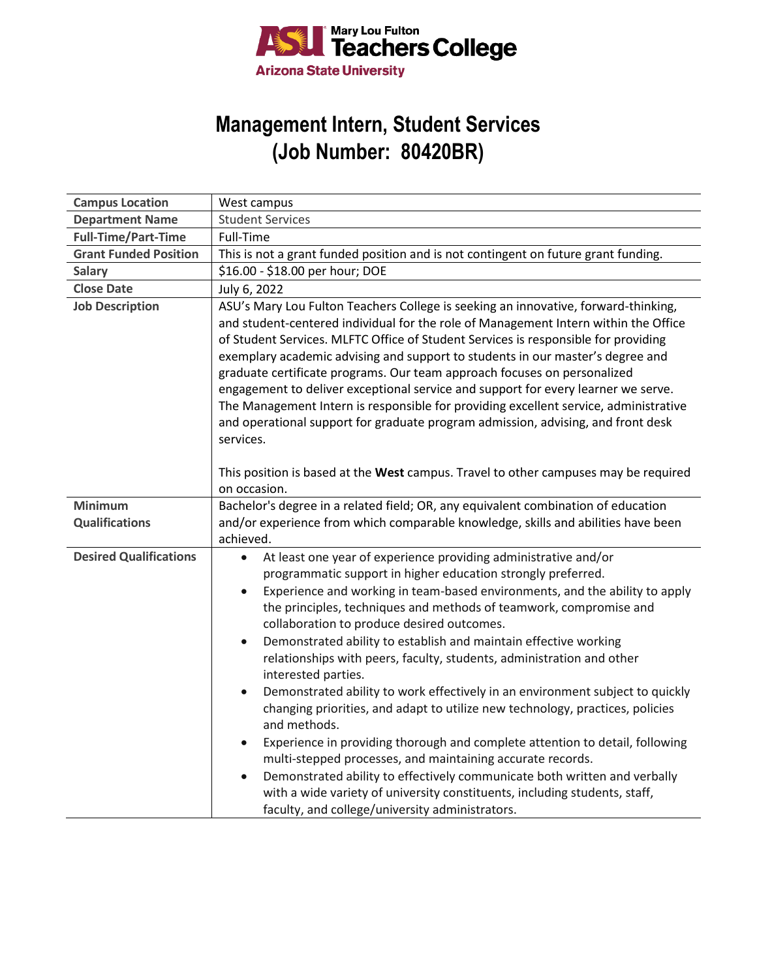

## **Management Intern, Student Services (Job Number: 80420BR)**

| <b>Campus Location</b>        | West campus                                                                                                                                                                                                                                                                                                                                                                                                                                                                                                                                                                                                                                                                                                                                                                                                                                                                                                                                                                                                                                                                                                           |
|-------------------------------|-----------------------------------------------------------------------------------------------------------------------------------------------------------------------------------------------------------------------------------------------------------------------------------------------------------------------------------------------------------------------------------------------------------------------------------------------------------------------------------------------------------------------------------------------------------------------------------------------------------------------------------------------------------------------------------------------------------------------------------------------------------------------------------------------------------------------------------------------------------------------------------------------------------------------------------------------------------------------------------------------------------------------------------------------------------------------------------------------------------------------|
| <b>Department Name</b>        | <b>Student Services</b>                                                                                                                                                                                                                                                                                                                                                                                                                                                                                                                                                                                                                                                                                                                                                                                                                                                                                                                                                                                                                                                                                               |
| <b>Full-Time/Part-Time</b>    | Full-Time                                                                                                                                                                                                                                                                                                                                                                                                                                                                                                                                                                                                                                                                                                                                                                                                                                                                                                                                                                                                                                                                                                             |
| <b>Grant Funded Position</b>  | This is not a grant funded position and is not contingent on future grant funding.                                                                                                                                                                                                                                                                                                                                                                                                                                                                                                                                                                                                                                                                                                                                                                                                                                                                                                                                                                                                                                    |
| <b>Salary</b>                 | \$16.00 - \$18.00 per hour; DOE                                                                                                                                                                                                                                                                                                                                                                                                                                                                                                                                                                                                                                                                                                                                                                                                                                                                                                                                                                                                                                                                                       |
| <b>Close Date</b>             | July 6, 2022                                                                                                                                                                                                                                                                                                                                                                                                                                                                                                                                                                                                                                                                                                                                                                                                                                                                                                                                                                                                                                                                                                          |
| <b>Job Description</b>        | ASU's Mary Lou Fulton Teachers College is seeking an innovative, forward-thinking,<br>and student-centered individual for the role of Management Intern within the Office<br>of Student Services. MLFTC Office of Student Services is responsible for providing<br>exemplary academic advising and support to students in our master's degree and<br>graduate certificate programs. Our team approach focuses on personalized<br>engagement to deliver exceptional service and support for every learner we serve.<br>The Management Intern is responsible for providing excellent service, administrative<br>and operational support for graduate program admission, advising, and front desk<br>services.                                                                                                                                                                                                                                                                                                                                                                                                           |
|                               | This position is based at the West campus. Travel to other campuses may be required<br>on occasion.                                                                                                                                                                                                                                                                                                                                                                                                                                                                                                                                                                                                                                                                                                                                                                                                                                                                                                                                                                                                                   |
| <b>Minimum</b>                | Bachelor's degree in a related field; OR, any equivalent combination of education                                                                                                                                                                                                                                                                                                                                                                                                                                                                                                                                                                                                                                                                                                                                                                                                                                                                                                                                                                                                                                     |
| <b>Qualifications</b>         | and/or experience from which comparable knowledge, skills and abilities have been<br>achieved.                                                                                                                                                                                                                                                                                                                                                                                                                                                                                                                                                                                                                                                                                                                                                                                                                                                                                                                                                                                                                        |
| <b>Desired Qualifications</b> | At least one year of experience providing administrative and/or<br>$\bullet$<br>programmatic support in higher education strongly preferred.<br>Experience and working in team-based environments, and the ability to apply<br>$\bullet$<br>the principles, techniques and methods of teamwork, compromise and<br>collaboration to produce desired outcomes.<br>Demonstrated ability to establish and maintain effective working<br>$\bullet$<br>relationships with peers, faculty, students, administration and other<br>interested parties.<br>Demonstrated ability to work effectively in an environment subject to quickly<br>$\bullet$<br>changing priorities, and adapt to utilize new technology, practices, policies<br>and methods.<br>Experience in providing thorough and complete attention to detail, following<br>multi-stepped processes, and maintaining accurate records.<br>Demonstrated ability to effectively communicate both written and verbally<br>$\bullet$<br>with a wide variety of university constituents, including students, staff,<br>faculty, and college/university administrators. |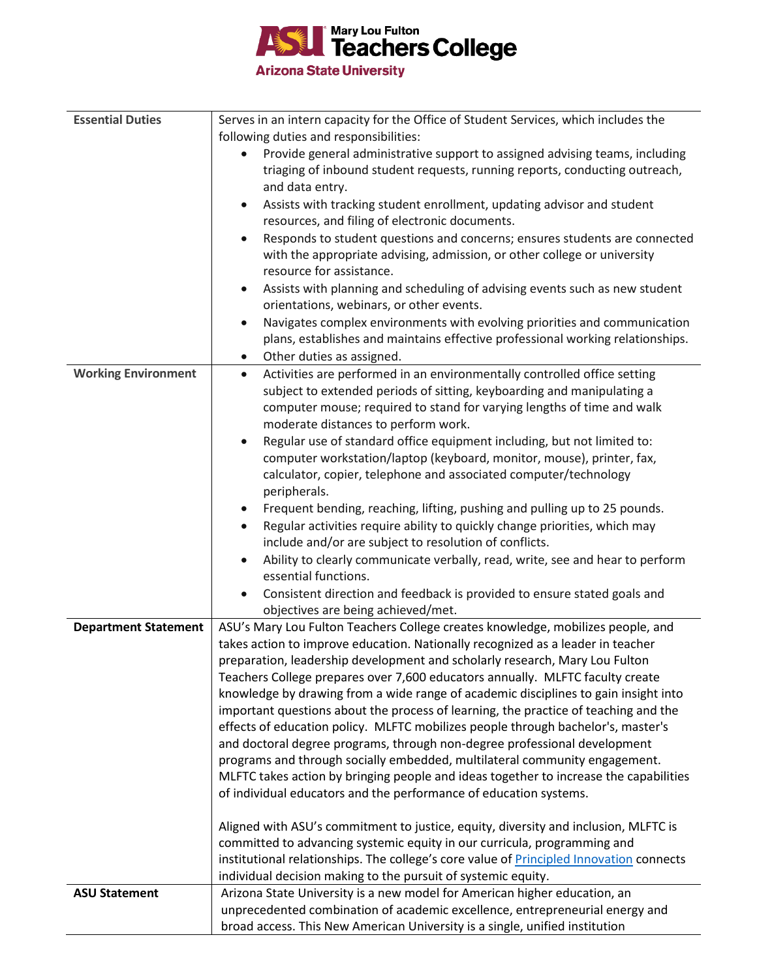

| <b>Essential Duties</b>     | Serves in an intern capacity for the Office of Student Services, which includes the                   |
|-----------------------------|-------------------------------------------------------------------------------------------------------|
|                             | following duties and responsibilities:                                                                |
|                             | Provide general administrative support to assigned advising teams, including                          |
|                             | triaging of inbound student requests, running reports, conducting outreach,                           |
|                             | and data entry.                                                                                       |
|                             | Assists with tracking student enrollment, updating advisor and student<br>$\bullet$                   |
|                             | resources, and filing of electronic documents.                                                        |
|                             | Responds to student questions and concerns; ensures students are connected<br>$\bullet$               |
|                             | with the appropriate advising, admission, or other college or university                              |
|                             | resource for assistance.                                                                              |
|                             | Assists with planning and scheduling of advising events such as new student<br>٠                      |
|                             | orientations, webinars, or other events.                                                              |
|                             | Navigates complex environments with evolving priorities and communication<br>$\bullet$                |
|                             | plans, establishes and maintains effective professional working relationships.                        |
|                             | Other duties as assigned.<br>$\bullet$                                                                |
| <b>Working Environment</b>  | Activities are performed in an environmentally controlled office setting<br>$\bullet$                 |
|                             | subject to extended periods of sitting, keyboarding and manipulating a                                |
|                             | computer mouse; required to stand for varying lengths of time and walk                                |
|                             | moderate distances to perform work.                                                                   |
|                             | Regular use of standard office equipment including, but not limited to:<br>$\bullet$                  |
|                             | computer workstation/laptop (keyboard, monitor, mouse), printer, fax,                                 |
|                             | calculator, copier, telephone and associated computer/technology                                      |
|                             | peripherals.                                                                                          |
|                             | Frequent bending, reaching, lifting, pushing and pulling up to 25 pounds.                             |
|                             | Regular activities require ability to quickly change priorities, which may<br>٠                       |
|                             | include and/or are subject to resolution of conflicts.                                                |
|                             | Ability to clearly communicate verbally, read, write, see and hear to perform<br>essential functions. |
|                             | Consistent direction and feedback is provided to ensure stated goals and<br>$\bullet$                 |
|                             | objectives are being achieved/met.                                                                    |
| <b>Department Statement</b> | ASU's Mary Lou Fulton Teachers College creates knowledge, mobilizes people, and                       |
|                             | takes action to improve education. Nationally recognized as a leader in teacher                       |
|                             | preparation, leadership development and scholarly research, Mary Lou Fulton                           |
|                             | Teachers College prepares over 7,600 educators annually. MLFTC faculty create                         |
|                             | knowledge by drawing from a wide range of academic disciplines to gain insight into                   |
|                             | important questions about the process of learning, the practice of teaching and the                   |
|                             | effects of education policy. MLFTC mobilizes people through bachelor's, master's                      |
|                             | and doctoral degree programs, through non-degree professional development                             |
|                             | programs and through socially embedded, multilateral community engagement.                            |
|                             | MLFTC takes action by bringing people and ideas together to increase the capabilities                 |
|                             | of individual educators and the performance of education systems.                                     |
|                             | Aligned with ASU's commitment to justice, equity, diversity and inclusion, MLFTC is                   |
|                             | committed to advancing systemic equity in our curricula, programming and                              |
|                             | institutional relationships. The college's core value of <b>Principled Innovation</b> connects        |
|                             | individual decision making to the pursuit of systemic equity.                                         |
| <b>ASU Statement</b>        | Arizona State University is a new model for American higher education, an                             |
|                             | unprecedented combination of academic excellence, entrepreneurial energy and                          |
|                             | broad access. This New American University is a single, unified institution                           |